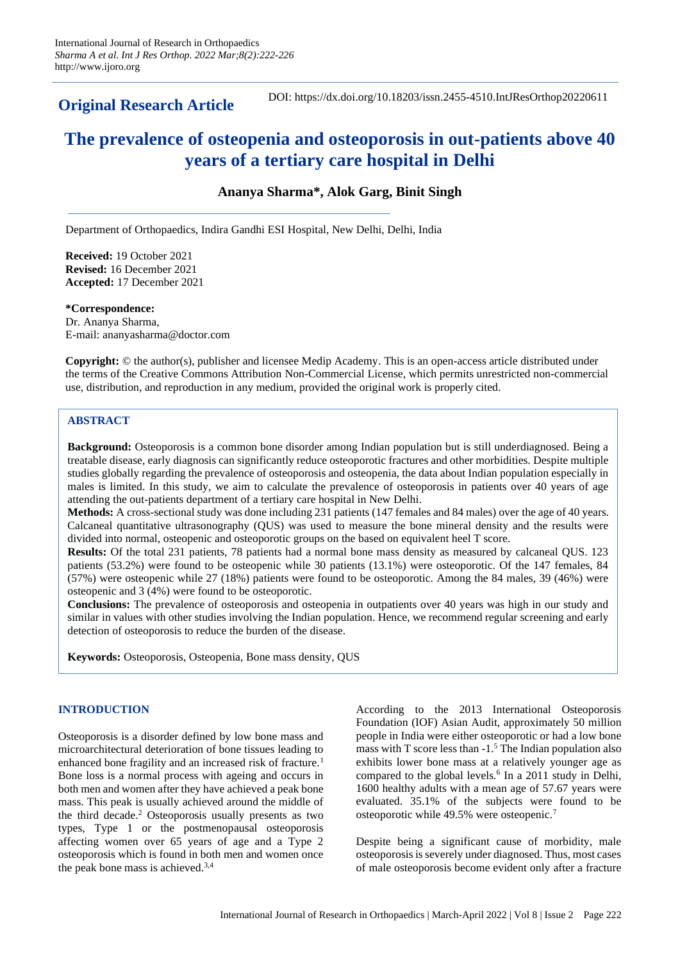**Original Research Article**

DOI: https://dx.doi.org/10.18203/issn.2455-4510.IntJResOrthop20220611

# **The prevalence of osteopenia and osteoporosis in out-patients above 40 years of a tertiary care hospital in Delhi**

# **Ananya Sharma\*, Alok Garg, Binit Singh**

Department of Orthopaedics, Indira Gandhi ESI Hospital, New Delhi, Delhi, India

**Received:** 19 October 2021 **Revised:** 16 December 2021 **Accepted:** 17 December 2021

**\*Correspondence:** Dr. Ananya Sharma, E-mail: ananyasharma@doctor.com

**Copyright:** © the author(s), publisher and licensee Medip Academy. This is an open-access article distributed under the terms of the Creative Commons Attribution Non-Commercial License, which permits unrestricted non-commercial use, distribution, and reproduction in any medium, provided the original work is properly cited.

# **ABSTRACT**

**Background:** Osteoporosis is a common bone disorder among Indian population but is still underdiagnosed. Being a treatable disease, early diagnosis can significantly reduce osteoporotic fractures and other morbidities. Despite multiple studies globally regarding the prevalence of osteoporosis and osteopenia, the data about Indian population especially in males is limited. In this study, we aim to calculate the prevalence of osteoporosis in patients over 40 years of age attending the out-patients department of a tertiary care hospital in New Delhi.

**Methods:** A cross-sectional study was done including 231 patients (147 females and 84 males) over the age of 40 years. Calcaneal quantitative ultrasonography (QUS) was used to measure the bone mineral density and the results were divided into normal, osteopenic and osteoporotic groups on the based on equivalent heel T score.

**Results:** Of the total 231 patients, 78 patients had a normal bone mass density as measured by calcaneal QUS. 123 patients (53.2%) were found to be osteopenic while 30 patients (13.1%) were osteoporotic. Of the 147 females, 84 (57%) were osteopenic while 27 (18%) patients were found to be osteoporotic. Among the 84 males, 39 (46%) were osteopenic and 3 (4%) were found to be osteoporotic.

**Conclusions:** The prevalence of osteoporosis and osteopenia in outpatients over 40 years was high in our study and similar in values with other studies involving the Indian population. Hence, we recommend regular screening and early detection of osteoporosis to reduce the burden of the disease.

**Keywords:** Osteoporosis, Osteopenia, Bone mass density, QUS

# **INTRODUCTION**

Osteoporosis is a disorder defined by low bone mass and microarchitectural deterioration of bone tissues leading to enhanced bone fragility and an increased risk of fracture.<sup>1</sup> Bone loss is a normal process with ageing and occurs in both men and women after they have achieved a peak bone mass. This peak is usually achieved around the middle of the third decade. <sup>2</sup> Osteoporosis usually presents as two types, Type 1 or the postmenopausal osteoporosis affecting women over 65 years of age and a Type 2 osteoporosis which is found in both men and women once the peak bone mass is achieved.3,4

According to the 2013 International Osteoporosis Foundation (IOF) Asian Audit, approximately 50 million people in India were either osteoporotic or had a low bone mass with T score less than -1.<sup>5</sup> The Indian population also exhibits lower bone mass at a relatively younger age as compared to the global levels.<sup>6</sup> In a 2011 study in Delhi, 1600 healthy adults with a mean age of 57.67 years were evaluated. 35.1% of the subjects were found to be osteoporotic while 49.5% were osteopenic.<sup>7</sup>

Despite being a significant cause of morbidity, male osteoporosis is severely under diagnosed. Thus, most cases of male osteoporosis become evident only after a fracture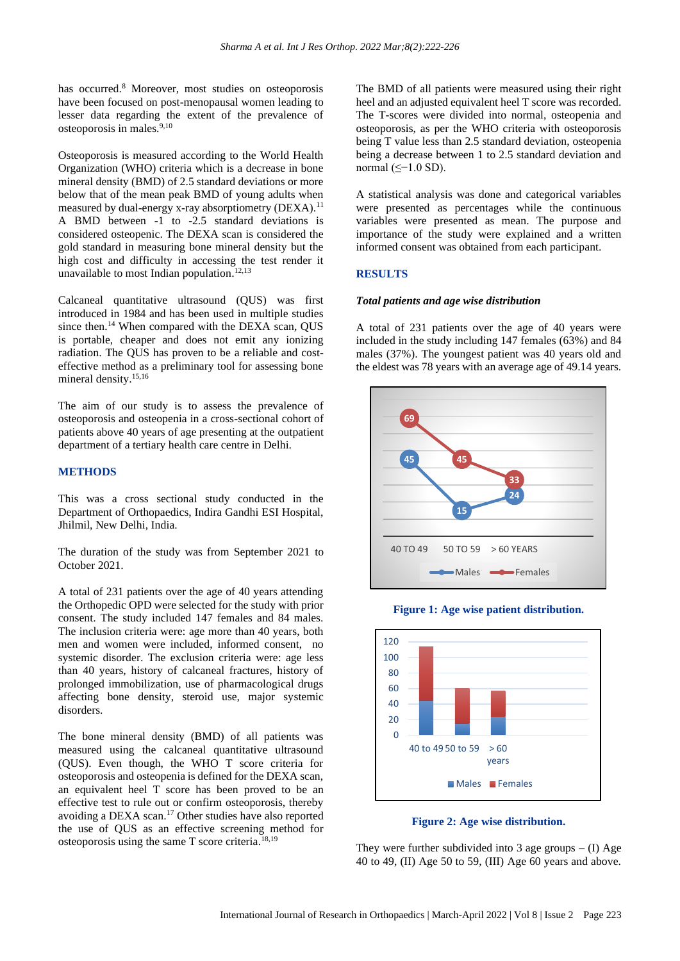has occurred.<sup>8</sup> Moreover, most studies on osteoporosis have been focused on post-menopausal women leading to lesser data regarding the extent of the prevalence of osteoporosis in males.9,10

Osteoporosis is measured according to the World Health Organization (WHO) criteria which is a decrease in bone mineral density (BMD) of 2.5 standard deviations or more below that of the mean peak BMD of young adults when measured by dual-energy x-ray absorptiometry  $(DEXA)$ .<sup>11</sup> A BMD between -1 to -2.5 standard deviations is considered osteopenic. The DEXA scan is considered the gold standard in measuring bone mineral density but the high cost and difficulty in accessing the test render it unavailable to most Indian population.<sup>12,13</sup>

Calcaneal quantitative ultrasound (QUS) was first introduced in 1984 and has been used in multiple studies since then.<sup>14</sup> When compared with the DEXA scan, QUS is portable, cheaper and does not emit any ionizing radiation. The QUS has proven to be a reliable and costeffective method as a preliminary tool for assessing bone mineral density.15,16

The aim of our study is to assess the prevalence of osteoporosis and osteopenia in a cross-sectional cohort of patients above 40 years of age presenting at the outpatient department of a tertiary health care centre in Delhi.

## **METHODS**

This was a cross sectional study conducted in the Department of Orthopaedics, Indira Gandhi ESI Hospital, Jhilmil, New Delhi, India.

The duration of the study was from September 2021 to October 2021.

A total of 231 patients over the age of 40 years attending the Orthopedic OPD were selected for the study with prior consent. The study included 147 females and 84 males. The inclusion criteria were: age more than 40 years, both men and women were included, informed consent, no systemic disorder. The exclusion criteria were: age less than 40 years, history of calcaneal fractures, history of prolonged immobilization, use of pharmacological drugs affecting bone density, steroid use, major systemic disorders.

The bone mineral density (BMD) of all patients was measured using the calcaneal quantitative ultrasound (QUS). Even though, the WHO T score criteria for osteoporosis and osteopenia is defined for the DEXA scan, an equivalent heel T score has been proved to be an effective test to rule out or confirm osteoporosis, thereby avoiding a DEXA scan.<sup>17</sup> Other studies have also reported the use of QUS as an effective screening method for osteoporosis using the same T score criteria. 18,19

The BMD of all patients were measured using their right heel and an adjusted equivalent heel T score was recorded. The T-scores were divided into normal, osteopenia and osteoporosis, as per the WHO criteria with osteoporosis being T value less than 2.5 standard deviation, osteopenia being a decrease between 1 to 2.5 standard deviation and normal (≤−1.0 SD).

A statistical analysis was done and categorical variables were presented as percentages while the continuous variables were presented as mean. The purpose and importance of the study were explained and a written informed consent was obtained from each participant.

## **RESULTS**

#### *Total patients and age wise distribution*

A total of 231 patients over the age of 40 years were included in the study including 147 females (63%) and 84 males (37%). The youngest patient was 40 years old and the eldest was 78 years with an average age of 49.14 years.



**Figure 1: Age wise patient distribution.**



**Figure 2: Age wise distribution.**

They were further subdivided into 3 age groups  $- (I)$  Age 40 to 49, (II) Age 50 to 59, (III) Age 60 years and above.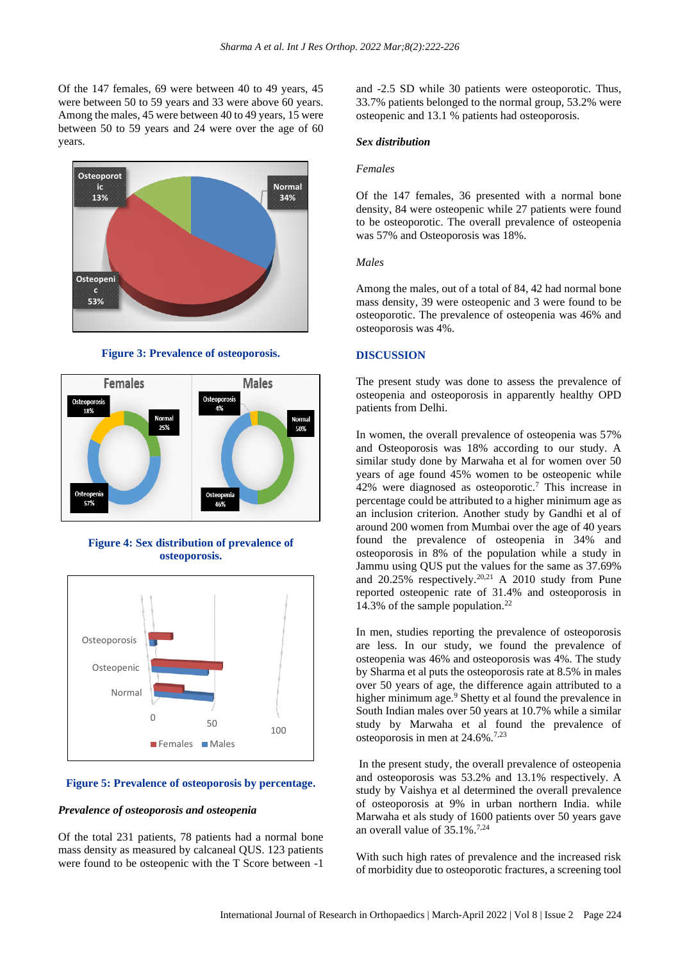Of the 147 females, 69 were between 40 to 49 years, 45 were between 50 to 59 years and 33 were above 60 years. Among the males, 45 were between 40 to 49 years, 15 were between 50 to 59 years and 24 were over the age of 60 years.



**Figure 3: Prevalence of osteoporosis.**



**Figure 4: Sex distribution of prevalence of osteoporosis.**



#### **Figure 5: Prevalence of osteoporosis by percentage.**

## *Prevalence of osteoporosis and osteopenia*

Of the total 231 patients, 78 patients had a normal bone mass density as measured by calcaneal QUS. 123 patients were found to be osteopenic with the T Score between -1

and -2.5 SD while 30 patients were osteoporotic. Thus, 33.7% patients belonged to the normal group, 53.2% were osteopenic and 13.1 % patients had osteoporosis.

## *Sex distribution*

#### *Females*

Of the 147 females, 36 presented with a normal bone density, 84 were osteopenic while 27 patients were found to be osteoporotic. The overall prevalence of osteopenia was 57% and Osteoporosis was 18%.

#### *Males*

Among the males, out of a total of 84, 42 had normal bone mass density, 39 were osteopenic and 3 were found to be osteoporotic. The prevalence of osteopenia was 46% and osteoporosis was 4%.

## **DISCUSSION**

The present study was done to assess the prevalence of osteopenia and osteoporosis in apparently healthy OPD patients from Delhi.

In women, the overall prevalence of osteopenia was 57% and Osteoporosis was 18% according to our study. A similar study done by Marwaha et al for women over 50 years of age found 45% women to be osteopenic while 42% were diagnosed as osteoporotic.<sup>7</sup> This increase in percentage could be attributed to a higher minimum age as an inclusion criterion. Another study by Gandhi et al of around 200 women from Mumbai over the age of 40 years found the prevalence of osteopenia in 34% and osteoporosis in 8% of the population while a study in Jammu using QUS put the values for the same as 37.69% and 20.25% respectively.20,21 A 2010 study from Pune reported osteopenic rate of 31.4% and osteoporosis in 14.3% of the sample population.<sup>22</sup>

In men, studies reporting the prevalence of osteoporosis are less. In our study, we found the prevalence of osteopenia was 46% and osteoporosis was 4%. The study by Sharma et al puts the osteoporosis rate at 8.5% in males over 50 years of age, the difference again attributed to a higher minimum age.<sup>9</sup> Shetty et al found the prevalence in South Indian males over 50 years at 10.7% while a similar study by Marwaha et al found the prevalence of osteoporosis in men at 24.6%.7,23

In the present study, the overall prevalence of osteopenia and osteoporosis was 53.2% and 13.1% respectively. A study by Vaishya et al determined the overall prevalence of osteoporosis at 9% in urban northern India. while Marwaha et als study of 1600 patients over 50 years gave an overall value of  $35.1\%$ .<sup>7,24</sup>

With such high rates of prevalence and the increased risk of morbidity due to osteoporotic fractures, a screening tool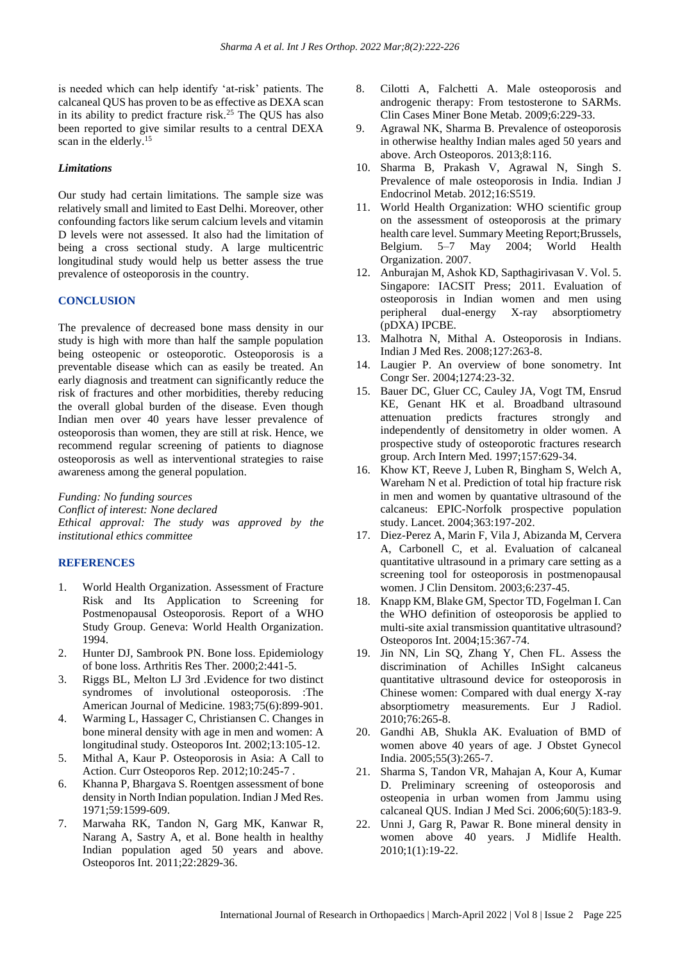is needed which can help identify 'at-risk' patients. The calcaneal QUS has proven to be as effective as DEXA scan in its ability to predict fracture risk.<sup>25</sup> The QUS has also been reported to give similar results to a central DEXA scan in the elderly.<sup>15</sup>

## *Limitations*

Our study had certain limitations. The sample size was relatively small and limited to East Delhi. Moreover, other confounding factors like serum calcium levels and vitamin D levels were not assessed. It also had the limitation of being a cross sectional study. A large multicentric longitudinal study would help us better assess the true prevalence of osteoporosis in the country.

## **CONCLUSION**

The prevalence of decreased bone mass density in our study is high with more than half the sample population being osteopenic or osteoporotic. Osteoporosis is a preventable disease which can as easily be treated. An early diagnosis and treatment can significantly reduce the risk of fractures and other morbidities, thereby reducing the overall global burden of the disease. Even though Indian men over 40 years have lesser prevalence of osteoporosis than women, they are still at risk. Hence, we recommend regular screening of patients to diagnose osteoporosis as well as interventional strategies to raise awareness among the general population.

*Funding: No funding sources Conflict of interest: None declared Ethical approval: The study was approved by the institutional ethics committee*

## **REFERENCES**

- 1. World Health Organization. Assessment of Fracture Risk and Its Application to Screening for Postmenopausal Osteoporosis. Report of a WHO Study Group. Geneva: World Health Organization. 1994.
- 2. Hunter DJ, Sambrook PN. Bone loss. Epidemiology of bone loss. Arthritis Res Ther. 2000;2:441-5.
- 3. Riggs BL, Melton LJ 3rd .Evidence for two distinct syndromes of involutional osteoporosis. :The American Journal of Medicine. 1983;75(6):899-901.
- 4. Warming L, Hassager C, Christiansen C. Changes in bone mineral density with age in men and women: A longitudinal study. Osteoporos Int. 2002;13:105-12.
- 5. Mithal A, Kaur P. Osteoporosis in Asia: A Call to Action. Curr Osteoporos Rep. 2012;10:245-7 .
- 6. Khanna P, Bhargava S. Roentgen assessment of bone density in North Indian population. Indian J Med Res. 1971;59:1599-609.
- 7. Marwaha RK, Tandon N, Garg MK, Kanwar R, Narang A, Sastry A, et al. Bone health in healthy Indian population aged 50 years and above. Osteoporos Int. 2011;22:2829-36.
- 8. Cilotti A, Falchetti A. Male osteoporosis and androgenic therapy: From testosterone to SARMs. Clin Cases Miner Bone Metab. 2009;6:229-33.
- 9. Agrawal NK, Sharma B. Prevalence of osteoporosis in otherwise healthy Indian males aged 50 years and above. Arch Osteoporos. 2013;8:116.
- 10. Sharma B, Prakash V, Agrawal N, Singh S. Prevalence of male osteoporosis in India. Indian J Endocrinol Metab. 2012;16:S519.
- 11. World Health Organization: WHO scientific group on the assessment of osteoporosis at the primary health care level. Summary Meeting Report;Brussels, Belgium. 5–7 May 2004; World Health Organization. 2007.
- 12. Anburajan M, Ashok KD, Sapthagirivasan V. Vol. 5. Singapore: IACSIT Press; 2011. Evaluation of osteoporosis in Indian women and men using peripheral dual-energy X-ray absorptiometry (pDXA) IPCBE.
- 13. Malhotra N, Mithal A. Osteoporosis in Indians. Indian J Med Res. 2008;127:263-8.
- 14. Laugier P. An overview of bone sonometry. Int Congr Ser. 2004;1274:23-32.
- 15. Bauer DC, Gluer CC, Cauley JA, Vogt TM, Ensrud KE, Genant HK et al. Broadband ultrasound attenuation predicts fractures strongly and independently of densitometry in older women. A prospective study of osteoporotic fractures research group. Arch Intern Med. 1997;157:629-34.
- 16. Khow KT, Reeve J, Luben R, Bingham S, Welch A, Wareham N et al. Prediction of total hip fracture risk in men and women by quantative ultrasound of the calcaneus: EPIC-Norfolk prospective population study. Lancet. 2004;363:197-202.
- 17. Diez-Perez A, Marin F, Vila J, Abizanda M, Cervera A, Carbonell C, et al. Evaluation of calcaneal quantitative ultrasound in a primary care setting as a screening tool for osteoporosis in postmenopausal women. J Clin Densitom. 2003;6:237-45.
- 18. Knapp KM, Blake GM, Spector TD, Fogelman I. Can the WHO definition of osteoporosis be applied to multi-site axial transmission quantitative ultrasound? Osteoporos Int. 2004;15:367-74.
- 19. Jin NN, Lin SQ, Zhang Y, Chen FL. Assess the discrimination of Achilles InSight calcaneus quantitative ultrasound device for osteoporosis in Chinese women: Compared with dual energy X-ray absorptiometry measurements. Eur J Radiol. 2010;76:265-8.
- 20. Gandhi AB, Shukla AK. Evaluation of BMD of women above 40 years of age. J Obstet Gynecol India. 2005;55(3):265-7.
- 21. Sharma S, Tandon VR, Mahajan A, Kour A, Kumar D. Preliminary screening of osteoporosis and osteopenia in urban women from Jammu using calcaneal QUS. Indian J Med Sci. 2006;60(5):183-9.
- 22. Unni J, Garg R, Pawar R. Bone mineral density in women above 40 years. J Midlife Health. 2010;1(1):19-22.